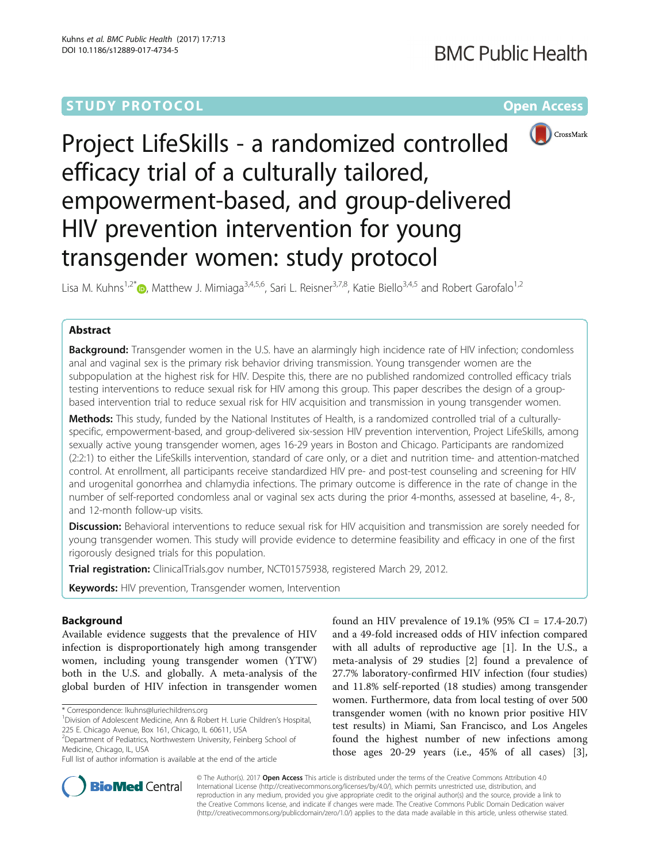

# Project LifeSkills - a randomized controlled efficacy trial of a culturally tailored, empowerment-based, and group-delivered HIV prevention intervention for young transgender women: study protocol

Lisa M. Kuhns<sup>1,2[\\*](http://orcid.org/0000-0001-8294-7801)</sup> <sub>(b</sub>, Matthew J. Mimiaga<sup>3,4,5,6</sup>, Sari L. Reisner<sup>3,7,8</sup>, Katie Biello<sup>3,4,5</sup> and Robert Garofalo<sup>1,2</sup>

# Abstract

**Background:** Transgender women in the U.S. have an alarmingly high incidence rate of HIV infection; condomless anal and vaginal sex is the primary risk behavior driving transmission. Young transgender women are the subpopulation at the highest risk for HIV. Despite this, there are no published randomized controlled efficacy trials testing interventions to reduce sexual risk for HIV among this group. This paper describes the design of a groupbased intervention trial to reduce sexual risk for HIV acquisition and transmission in young transgender women.

Methods: This study, funded by the National Institutes of Health, is a randomized controlled trial of a culturallyspecific, empowerment-based, and group-delivered six-session HIV prevention intervention, Project LifeSkills, among sexually active young transgender women, ages 16-29 years in Boston and Chicago. Participants are randomized (2:2:1) to either the LifeSkills intervention, standard of care only, or a diet and nutrition time- and attention-matched control. At enrollment, all participants receive standardized HIV pre- and post-test counseling and screening for HIV and urogenital gonorrhea and chlamydia infections. The primary outcome is difference in the rate of change in the number of self-reported condomless anal or vaginal sex acts during the prior 4-months, assessed at baseline, 4-, 8-, and 12-month follow-up visits.

Discussion: Behavioral interventions to reduce sexual risk for HIV acquisition and transmission are sorely needed for young transgender women. This study will provide evidence to determine feasibility and efficacy in one of the first rigorously designed trials for this population.

Trial registration: ClinicalTrials.gov number, [NCT01575938,](https://clinicaltrials.gov/ct2/show/NCT01575938) registered March 29, 2012.

Keywords: HIV prevention, Transgender women, Intervention

# Background

Available evidence suggests that the prevalence of HIV infection is disproportionately high among transgender women, including young transgender women (YTW) both in the U.S. and globally. A meta-analysis of the global burden of HIV infection in transgender women

<sup>1</sup> Division of Adolescent Medicine, Ann & Robert H. Lurie Children's Hospital, 225 E. Chicago Avenue, Box 161, Chicago, IL 60611, USA

found an HIV prevalence of  $19.1\%$  (95% CI = 17.4-20.7) and a 49-fold increased odds of HIV infection compared with all adults of reproductive age [\[1](#page-5-0)]. In the U.S., a meta-analysis of 29 studies [[2\]](#page-5-0) found a prevalence of 27.7% laboratory-confirmed HIV infection (four studies) and 11.8% self-reported (18 studies) among transgender women. Furthermore, data from local testing of over 500 transgender women (with no known prior positive HIV test results) in Miami, San Francisco, and Los Angeles found the highest number of new infections among those ages 20-29 years (i.e., 45% of all cases) [\[3](#page-5-0)],



© The Author(s). 2017 **Open Access** This article is distributed under the terms of the Creative Commons Attribution 4.0 International License [\(http://creativecommons.org/licenses/by/4.0/](http://creativecommons.org/licenses/by/4.0/)), which permits unrestricted use, distribution, and reproduction in any medium, provided you give appropriate credit to the original author(s) and the source, provide a link to the Creative Commons license, and indicate if changes were made. The Creative Commons Public Domain Dedication waiver [\(http://creativecommons.org/publicdomain/zero/1.0/](http://creativecommons.org/publicdomain/zero/1.0/)) applies to the data made available in this article, unless otherwise stated.

<sup>\*</sup> Correspondence: [lkuhns@luriechildrens.org](mailto:lkuhns@luriechildrens.org) <sup>1</sup>

<sup>2</sup> Department of Pediatrics, Northwestern University, Feinberg School of Medicine, Chicago, IL, USA

Full list of author information is available at the end of the article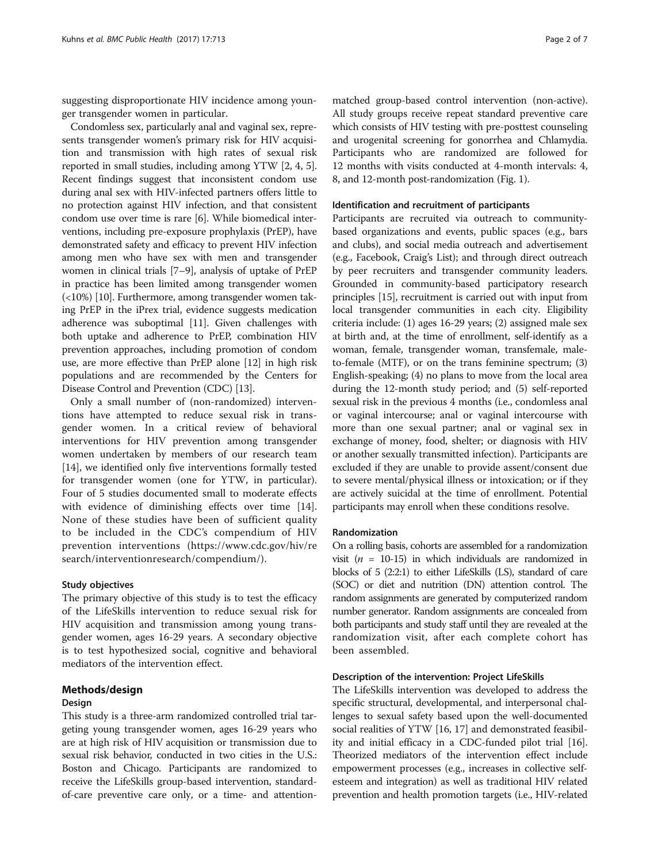suggesting disproportionate HIV incidence among younger transgender women in particular.

Condomless sex, particularly anal and vaginal sex, represents transgender women's primary risk for HIV acquisition and transmission with high rates of sexual risk reported in small studies, including among YTW [[2, 4](#page-5-0), [5](#page-5-0)]. Recent findings suggest that inconsistent condom use during anal sex with HIV-infected partners offers little to no protection against HIV infection, and that consistent condom use over time is rare [\[6](#page-5-0)]. While biomedical interventions, including pre-exposure prophylaxis (PrEP), have demonstrated safety and efficacy to prevent HIV infection among men who have sex with men and transgender women in clinical trials [\[7](#page-5-0)–[9\]](#page-5-0), analysis of uptake of PrEP in practice has been limited among transgender women (<10%) [\[10\]](#page-5-0). Furthermore, among transgender women taking PrEP in the iPrex trial, evidence suggests medication adherence was suboptimal [[11](#page-5-0)]. Given challenges with both uptake and adherence to PrEP, combination HIV prevention approaches, including promotion of condom use, are more effective than PrEP alone [[12](#page-5-0)] in high risk populations and are recommended by the Centers for Disease Control and Prevention (CDC) [[13](#page-5-0)].

Only a small number of (non-randomized) interventions have attempted to reduce sexual risk in transgender women. In a critical review of behavioral interventions for HIV prevention among transgender women undertaken by members of our research team [[14\]](#page-5-0), we identified only five interventions formally tested for transgender women (one for YTW, in particular). Four of 5 studies documented small to moderate effects with evidence of diminishing effects over time [\[14](#page-5-0)]. None of these studies have been of sufficient quality to be included in the CDC's compendium of HIV prevention interventions ([https://www.cdc.gov/hiv/re](https://www.cdc.gov/hiv/research/interventionresearch/compendium/) [search/interventionresearch/compendium/\)](https://www.cdc.gov/hiv/research/interventionresearch/compendium/).

# Study objectives

The primary objective of this study is to test the efficacy of the LifeSkills intervention to reduce sexual risk for HIV acquisition and transmission among young transgender women, ages 16-29 years. A secondary objective is to test hypothesized social, cognitive and behavioral mediators of the intervention effect.

# Methods/design

#### Design

This study is a three-arm randomized controlled trial targeting young transgender women, ages 16-29 years who are at high risk of HIV acquisition or transmission due to sexual risk behavior, conducted in two cities in the U.S.: Boston and Chicago. Participants are randomized to receive the LifeSkills group-based intervention, standardof-care preventive care only, or a time- and attention-

matched group-based control intervention (non-active). All study groups receive repeat standard preventive care which consists of HIV testing with pre-posttest counseling and urogenital screening for gonorrhea and Chlamydia. Participants who are randomized are followed for 12 months with visits conducted at 4-month intervals: 4, 8, and 12-month post-randomization (Fig. [1](#page-2-0)).

# Identification and recruitment of participants

Participants are recruited via outreach to communitybased organizations and events, public spaces (e.g., bars and clubs), and social media outreach and advertisement (e.g., Facebook, Craig's List); and through direct outreach by peer recruiters and transgender community leaders. Grounded in community-based participatory research principles [[15](#page-5-0)], recruitment is carried out with input from local transgender communities in each city. Eligibility criteria include: (1) ages 16-29 years; (2) assigned male sex at birth and, at the time of enrollment, self-identify as a woman, female, transgender woman, transfemale, maleto-female (MTF), or on the trans feminine spectrum; (3) English-speaking; (4) no plans to move from the local area during the 12-month study period; and (5) self-reported sexual risk in the previous 4 months (i.e., condomless anal or vaginal intercourse; anal or vaginal intercourse with more than one sexual partner; anal or vaginal sex in exchange of money, food, shelter; or diagnosis with HIV or another sexually transmitted infection). Participants are excluded if they are unable to provide assent/consent due to severe mental/physical illness or intoxication; or if they are actively suicidal at the time of enrollment. Potential participants may enroll when these conditions resolve.

# Randomization

On a rolling basis, cohorts are assembled for a randomization visit ( $n = 10-15$ ) in which individuals are randomized in blocks of 5 (2:2:1) to either LifeSkills (LS), standard of care (SOC) or diet and nutrition (DN) attention control. The random assignments are generated by computerized random number generator. Random assignments are concealed from both participants and study staff until they are revealed at the randomization visit, after each complete cohort has been assembled.

### Description of the intervention: Project LifeSkills

The LifeSkills intervention was developed to address the specific structural, developmental, and interpersonal challenges to sexual safety based upon the well-documented social realities of YTW [\[16, 17](#page-5-0)] and demonstrated feasibility and initial efficacy in a CDC-funded pilot trial [[16](#page-5-0)]. Theorized mediators of the intervention effect include empowerment processes (e.g., increases in collective selfesteem and integration) as well as traditional HIV related prevention and health promotion targets (i.e., HIV-related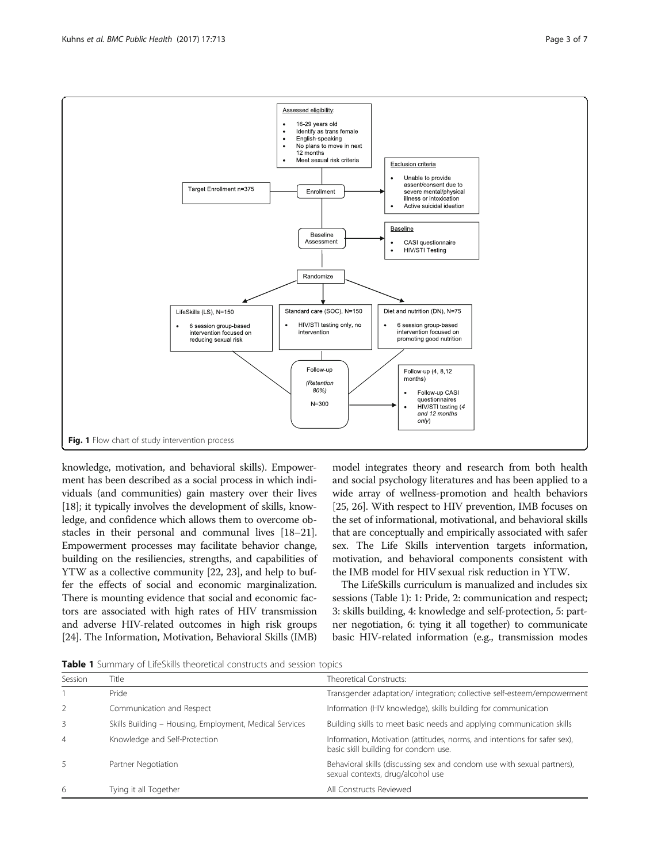<span id="page-2-0"></span>

knowledge, motivation, and behavioral skills). Empowerment has been described as a social process in which individuals (and communities) gain mastery over their lives [[18](#page-6-0)]; it typically involves the development of skills, knowledge, and confidence which allows them to overcome obstacles in their personal and communal lives [\[18](#page-6-0)–[21](#page-6-0)]. Empowerment processes may facilitate behavior change, building on the resiliencies, strengths, and capabilities of YTW as a collective community [[22](#page-6-0), [23\]](#page-6-0), and help to buffer the effects of social and economic marginalization. There is mounting evidence that social and economic factors are associated with high rates of HIV transmission and adverse HIV-related outcomes in high risk groups [[24](#page-6-0)]. The Information, Motivation, Behavioral Skills (IMB)

model integrates theory and research from both health and social psychology literatures and has been applied to a wide array of wellness-promotion and health behaviors [[25](#page-6-0), [26](#page-6-0)]. With respect to HIV prevention, IMB focuses on the set of informational, motivational, and behavioral skills that are conceptually and empirically associated with safer sex. The Life Skills intervention targets information, motivation, and behavioral components consistent with the IMB model for HIV sexual risk reduction in YTW.

The LifeSkills curriculum is manualized and includes six sessions (Table 1): 1: Pride, 2: communication and respect; 3: skills building, 4: knowledge and self-protection, 5: partner negotiation, 6: tying it all together) to communicate basic HIV-related information (e.g., transmission modes

Table 1 Summary of LifeSkills theoretical constructs and session topics

| Session        | Title                                                   | Theoretical Constructs:                                                                                           |
|----------------|---------------------------------------------------------|-------------------------------------------------------------------------------------------------------------------|
|                | Pride                                                   | Transgender adaptation/ integration; collective self-esteem/empowerment                                           |
| $\mathcal{P}$  | Communication and Respect                               | Information (HIV knowledge), skills building for communication                                                    |
| 3              | Skills Building - Housing, Employment, Medical Services | Building skills to meet basic needs and applying communication skills                                             |
| $\overline{4}$ | Knowledge and Self-Protection                           | Information, Motivation (attitudes, norms, and intentions for safer sex),<br>basic skill building for condom use. |
| 5              | Partner Negotiation                                     | Behavioral skills (discussing sex and condom use with sexual partners),<br>sexual contexts, drug/alcohol use      |
| 6              | Tying it all Together                                   | All Constructs Reviewed                                                                                           |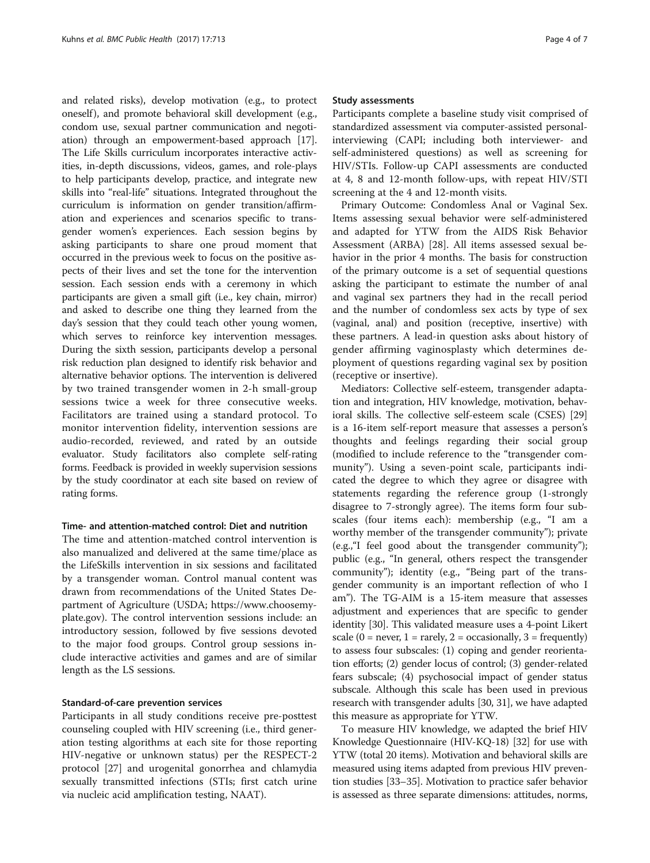and related risks), develop motivation (e.g., to protect oneself ), and promote behavioral skill development (e.g., condom use, sexual partner communication and negotiation) through an empowerment-based approach [[17](#page-5-0)]. The Life Skills curriculum incorporates interactive activities, in-depth discussions, videos, games, and role-plays to help participants develop, practice, and integrate new skills into "real-life" situations. Integrated throughout the curriculum is information on gender transition/affirmation and experiences and scenarios specific to transgender women's experiences. Each session begins by asking participants to share one proud moment that occurred in the previous week to focus on the positive aspects of their lives and set the tone for the intervention session. Each session ends with a ceremony in which participants are given a small gift (i.e., key chain, mirror) and asked to describe one thing they learned from the day's session that they could teach other young women, which serves to reinforce key intervention messages. During the sixth session, participants develop a personal risk reduction plan designed to identify risk behavior and alternative behavior options. The intervention is delivered by two trained transgender women in 2-h small-group sessions twice a week for three consecutive weeks. Facilitators are trained using a standard protocol. To monitor intervention fidelity, intervention sessions are audio-recorded, reviewed, and rated by an outside evaluator. Study facilitators also complete self-rating forms. Feedback is provided in weekly supervision sessions by the study coordinator at each site based on review of rating forms.

#### Time- and attention-matched control: Diet and nutrition

The time and attention-matched control intervention is also manualized and delivered at the same time/place as the LifeSkills intervention in six sessions and facilitated by a transgender woman. Control manual content was drawn from recommendations of the United States Department of Agriculture (USDA; [https://www.choosemy](https://www.choosemyplate.gov)[plate.gov\)](https://www.choosemyplate.gov). The control intervention sessions include: an introductory session, followed by five sessions devoted to the major food groups. Control group sessions include interactive activities and games and are of similar length as the LS sessions.

# Standard-of-care prevention services

Participants in all study conditions receive pre-posttest counseling coupled with HIV screening (i.e., third generation testing algorithms at each site for those reporting HIV-negative or unknown status) per the RESPECT-2 protocol [[27\]](#page-6-0) and urogenital gonorrhea and chlamydia sexually transmitted infections (STIs; first catch urine via nucleic acid amplification testing, NAAT).

#### Study assessments

Participants complete a baseline study visit comprised of standardized assessment via computer-assisted personalinterviewing (CAPI; including both interviewer- and self-administered questions) as well as screening for HIV/STIs. Follow-up CAPI assessments are conducted at 4, 8 and 12-month follow-ups, with repeat HIV/STI screening at the 4 and 12-month visits.

Primary Outcome: Condomless Anal or Vaginal Sex. Items assessing sexual behavior were self-administered and adapted for YTW from the AIDS Risk Behavior Assessment (ARBA) [\[28](#page-6-0)]. All items assessed sexual behavior in the prior 4 months. The basis for construction of the primary outcome is a set of sequential questions asking the participant to estimate the number of anal and vaginal sex partners they had in the recall period and the number of condomless sex acts by type of sex (vaginal, anal) and position (receptive, insertive) with these partners. A lead-in question asks about history of gender affirming vaginosplasty which determines deployment of questions regarding vaginal sex by position (receptive or insertive).

Mediators: Collective self-esteem, transgender adaptation and integration, HIV knowledge, motivation, behavioral skills. The collective self-esteem scale (CSES) [[29](#page-6-0)] is a 16-item self-report measure that assesses a person's thoughts and feelings regarding their social group (modified to include reference to the "transgender community"). Using a seven-point scale, participants indicated the degree to which they agree or disagree with statements regarding the reference group (1-strongly disagree to 7-strongly agree). The items form four subscales (four items each): membership (e.g., "I am a worthy member of the transgender community"); private (e.g.,"I feel good about the transgender community"); public (e.g., "In general, others respect the transgender community"); identity (e.g., "Being part of the transgender community is an important reflection of who I am"). The TG-AIM is a 15-item measure that assesses adjustment and experiences that are specific to gender identity [\[30\]](#page-6-0). This validated measure uses a 4-point Likert scale (0 = never, 1 = rarely, 2 = occasionally, 3 = frequently) to assess four subscales: (1) coping and gender reorientation efforts; (2) gender locus of control; (3) gender-related fears subscale; (4) psychosocial impact of gender status subscale. Although this scale has been used in previous research with transgender adults [[30](#page-6-0), [31\]](#page-6-0), we have adapted this measure as appropriate for YTW.

To measure HIV knowledge, we adapted the brief HIV Knowledge Questionnaire (HIV-KQ-18) [\[32\]](#page-6-0) for use with YTW (total 20 items). Motivation and behavioral skills are measured using items adapted from previous HIV prevention studies [\[33](#page-6-0)–[35](#page-6-0)]. Motivation to practice safer behavior is assessed as three separate dimensions: attitudes, norms,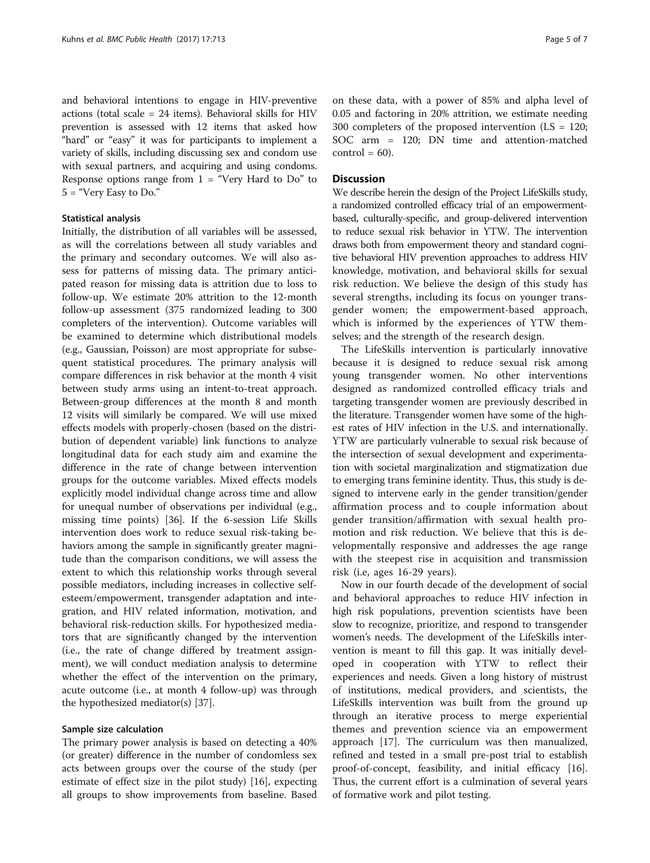and behavioral intentions to engage in HIV-preventive actions (total scale = 24 items). Behavioral skills for HIV prevention is assessed with 12 items that asked how "hard" or "easy" it was for participants to implement a variety of skills, including discussing sex and condom use with sexual partners, and acquiring and using condoms. Response options range from  $1 =$  "Very Hard to Do" to  $5 =$  "Very Easy to Do."

# Statistical analysis

Initially, the distribution of all variables will be assessed, as will the correlations between all study variables and the primary and secondary outcomes. We will also assess for patterns of missing data. The primary anticipated reason for missing data is attrition due to loss to follow-up. We estimate 20% attrition to the 12-month follow-up assessment (375 randomized leading to 300 completers of the intervention). Outcome variables will be examined to determine which distributional models (e.g., Gaussian, Poisson) are most appropriate for subsequent statistical procedures. The primary analysis will compare differences in risk behavior at the month 4 visit between study arms using an intent-to-treat approach. Between-group differences at the month 8 and month 12 visits will similarly be compared. We will use mixed effects models with properly-chosen (based on the distribution of dependent variable) link functions to analyze longitudinal data for each study aim and examine the difference in the rate of change between intervention groups for the outcome variables. Mixed effects models explicitly model individual change across time and allow for unequal number of observations per individual (e.g., missing time points) [\[36](#page-6-0)]. If the 6-session Life Skills intervention does work to reduce sexual risk-taking behaviors among the sample in significantly greater magnitude than the comparison conditions, we will assess the extent to which this relationship works through several possible mediators, including increases in collective selfesteem/empowerment, transgender adaptation and integration, and HIV related information, motivation, and behavioral risk-reduction skills. For hypothesized mediators that are significantly changed by the intervention (i.e., the rate of change differed by treatment assignment), we will conduct mediation analysis to determine whether the effect of the intervention on the primary, acute outcome (i.e., at month 4 follow-up) was through the hypothesized mediator(s) [[37](#page-6-0)].

# Sample size calculation

The primary power analysis is based on detecting a 40% (or greater) difference in the number of condomless sex acts between groups over the course of the study (per estimate of effect size in the pilot study) [[16](#page-5-0)], expecting all groups to show improvements from baseline. Based

on these data, with a power of 85% and alpha level of 0.05 and factoring in 20% attrition, we estimate needing 300 completers of the proposed intervention (LS = 120; SOC arm = 120; DN time and attention-matched  $control = 60$ ).

# **Discussion**

We describe herein the design of the Project LifeSkills study, a randomized controlled efficacy trial of an empowermentbased, culturally-specific, and group-delivered intervention to reduce sexual risk behavior in YTW. The intervention draws both from empowerment theory and standard cognitive behavioral HIV prevention approaches to address HIV knowledge, motivation, and behavioral skills for sexual risk reduction. We believe the design of this study has several strengths, including its focus on younger transgender women; the empowerment-based approach, which is informed by the experiences of YTW themselves; and the strength of the research design.

The LifeSkills intervention is particularly innovative because it is designed to reduce sexual risk among young transgender women. No other interventions designed as randomized controlled efficacy trials and targeting transgender women are previously described in the literature. Transgender women have some of the highest rates of HIV infection in the U.S. and internationally. YTW are particularly vulnerable to sexual risk because of the intersection of sexual development and experimentation with societal marginalization and stigmatization due to emerging trans feminine identity. Thus, this study is designed to intervene early in the gender transition/gender affirmation process and to couple information about gender transition/affirmation with sexual health promotion and risk reduction. We believe that this is developmentally responsive and addresses the age range with the steepest rise in acquisition and transmission risk (i.e, ages 16-29 years).

Now in our fourth decade of the development of social and behavioral approaches to reduce HIV infection in high risk populations, prevention scientists have been slow to recognize, prioritize, and respond to transgender women's needs. The development of the LifeSkills intervention is meant to fill this gap. It was initially developed in cooperation with YTW to reflect their experiences and needs. Given a long history of mistrust of institutions, medical providers, and scientists, the LifeSkills intervention was built from the ground up through an iterative process to merge experiential themes and prevention science via an empowerment approach [\[17](#page-5-0)]. The curriculum was then manualized, refined and tested in a small pre-post trial to establish proof-of-concept, feasibility, and initial efficacy [\[16](#page-5-0)]. Thus, the current effort is a culmination of several years of formative work and pilot testing.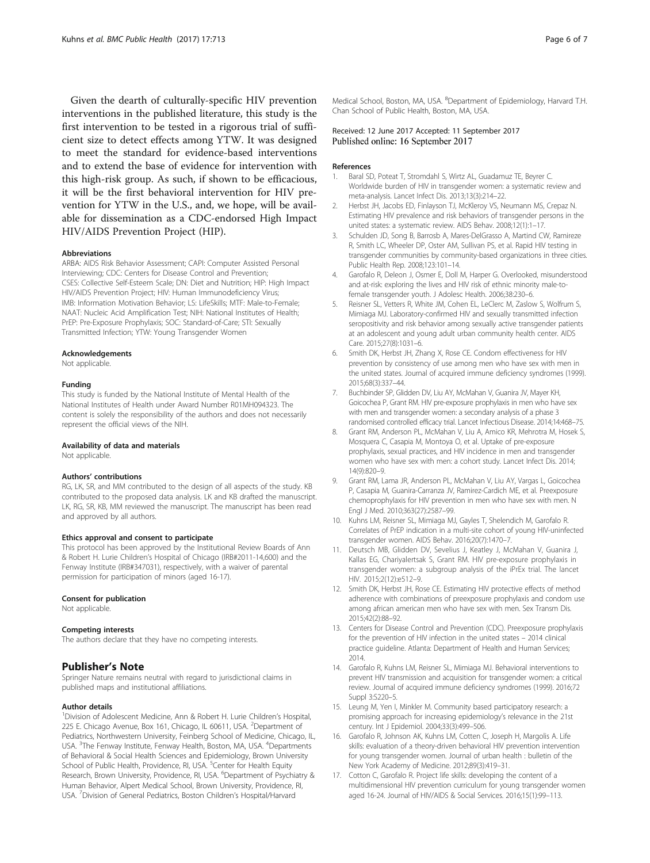<span id="page-5-0"></span>Given the dearth of culturally-specific HIV prevention interventions in the published literature, this study is the first intervention to be tested in a rigorous trial of sufficient size to detect effects among YTW. It was designed to meet the standard for evidence-based interventions and to extend the base of evidence for intervention with this high-risk group. As such, if shown to be efficacious, it will be the first behavioral intervention for HIV prevention for YTW in the U.S., and, we hope, will be available for dissemination as a CDC-endorsed High Impact HIV/AIDS Prevention Project (HIP).

#### **Abbreviations**

ARBA: AIDS Risk Behavior Assessment; CAPI: Computer Assisted Personal Interviewing; CDC: Centers for Disease Control and Prevention; CSES: Collective Self-Esteem Scale; DN: Diet and Nutrition; HIP: High Impact HIV/AIDS Prevention Project; HIV: Human Immunodeficiency Virus; IMB: Information Motivation Behavior; LS: LifeSkills; MTF: Male-to-Female; NAAT: Nucleic Acid Amplification Test; NIH: National Institutes of Health; PrEP: Pre-Exposure Prophylaxis; SOC: Standard-of-Care; STI: Sexually Transmitted Infection; YTW: Young Transgender Women

#### Acknowledgements

Not applicable.

#### Funding

This study is funded by the National Institute of Mental Health of the National Institutes of Health under Award Number R01MH094323. The content is solely the responsibility of the authors and does not necessarily represent the official views of the NIH.

## Availability of data and materials

Not applicable.

#### Authors' contributions

RG, LK, SR, and MM contributed to the design of all aspects of the study. KB contributed to the proposed data analysis. LK and KB drafted the manuscript. LK, RG, SR, KB, MM reviewed the manuscript. The manuscript has been read and approved by all authors.

#### Ethics approval and consent to participate

This protocol has been approved by the Institutional Review Boards of Ann & Robert H. Lurie Children's Hospital of Chicago (IRB#2011-14,600) and the Fenway Institute (IRB#347031), respectively, with a waiver of parental permission for participation of minors (aged 16-17).

#### Consent for publication

Not applicable.

# Competing interests

The authors declare that they have no competing interests.

#### Publisher's Note

Springer Nature remains neutral with regard to jurisdictional claims in published maps and institutional affiliations.

#### Author details

<sup>1</sup> Division of Adolescent Medicine, Ann & Robert H. Lurie Children's Hospital, 225 E. Chicago Avenue, Box 161, Chicago, IL 60611, USA. <sup>2</sup>Department of Pediatrics, Northwestern University, Feinberg School of Medicine, Chicago, IL, USA. <sup>3</sup>The Fenway Institute, Fenway Health, Boston, MA, USA. <sup>4</sup>Departments of Behavioral & Social Health Sciences and Epidemiology, Brown University School of Public Health, Providence, RI, USA. <sup>5</sup>Center for Health Equity Research, Brown University, Providence, RI, USA. <sup>6</sup>Department of Psychiatry & Human Behavior, Alpert Medical School, Brown University, Providence, RI, USA. <sup>7</sup> Division of General Pediatrics, Boston Children's Hospital/Harvard

Medical School, Boston, MA, USA. <sup>8</sup>Department of Epidemiology, Harvard T.H Chan School of Public Health, Boston, MA, USA.

# Received: 12 June 2017 Accepted: 11 September 2017 Published online: 16 September 2017

#### References

- 1. Baral SD, Poteat T, Stromdahl S, Wirtz AL, Guadamuz TE, Beyrer C. Worldwide burden of HIV in transgender women: a systematic review and meta-analysis. Lancet Infect Dis. 2013;13(3):214–22.
- 2. Herbst JH, Jacobs ED, Finlayson TJ, McKleroy VS, Neumann MS, Crepaz N. Estimating HIV prevalence and risk behaviors of transgender persons in the united states: a systematic review. AIDS Behav. 2008;12(1):1–17.
- 3. Schulden JD, Song B, Barrosb A, Mares-DelGrasso A, Martind CW, Ramireze R, Smith LC, Wheeler DP, Oster AM, Sullivan PS, et al. Rapid HIV testing in transgender communities by community-based organizations in three cities. Public Health Rep. 2008;123:101–14.
- 4. Garofalo R, Deleon J, Osmer E, Doll M, Harper G. Overlooked, misunderstood and at-risk: exploring the lives and HIV risk of ethnic minority male-tofemale transgender youth. J Adolesc Health. 2006;38:230–6.
- Reisner SL, Vetters R, White JM, Cohen EL, LeClerc M, Zaslow S, Wolfrum S, Mimiaga MJ. Laboratory-confirmed HIV and sexually transmitted infection seropositivity and risk behavior among sexually active transgender patients at an adolescent and young adult urban community health center. AIDS Care. 2015;27(8):1031–6.
- 6. Smith DK, Herbst JH, Zhang X, Rose CE. Condom effectiveness for HIV prevention by consistency of use among men who have sex with men in the united states. Journal of acquired immune deficiency syndromes (1999). 2015;68(3):337–44.
- 7. Buchbinder SP, Glidden DV, Liu AY, McMahan V, Guanira JV, Mayer KH, Goicochea P, Grant RM. HIV pre-exposure prophylaxis in men who have sex with men and transgender women: a secondary analysis of a phase 3 randomised controlled efficacy trial. Lancet Infectious Disease. 2014;14:468–75.
- Grant RM, Anderson PL, McMahan V, Liu A, Amico KR, Mehrotra M, Hosek S, Mosquera C, Casapia M, Montoya O, et al. Uptake of pre-exposure prophylaxis, sexual practices, and HIV incidence in men and transgender women who have sex with men: a cohort study. Lancet Infect Dis. 2014; 14(9):820–9.
- 9. Grant RM, Lama JR, Anderson PL, McMahan V, Liu AY, Vargas L, Goicochea P, Casapia M, Guanira-Carranza JV, Ramirez-Cardich ME, et al. Preexposure chemoprophylaxis for HIV prevention in men who have sex with men. N Engl J Med. 2010;363(27):2587–99.
- 10. Kuhns LM, Reisner SL, Mimiaga MJ, Gayles T, Shelendich M, Garofalo R. Correlates of PrEP indication in a multi-site cohort of young HIV-uninfected transgender women. AIDS Behav. 2016;20(7):1470–7.
- 11. Deutsch MB, Glidden DV, Sevelius J, Keatley J, McMahan V, Guanira J, Kallas EG, Chariyalertsak S, Grant RM. HIV pre-exposure prophylaxis in transgender women: a subgroup analysis of the iPrEx trial. The lancet HIV. 2015;2(12):e512–9.
- 12. Smith DK, Herbst JH, Rose CE. Estimating HIV protective effects of method adherence with combinations of preexposure prophylaxis and condom use among african american men who have sex with men. Sex Transm Dis. 2015;42(2):88–92.
- 13. Centers for Disease Control and Prevention (CDC). Preexposure prophylaxis for the prevention of HIV infection in the united states – 2014 clinical practice guideline. Atlanta: Department of Health and Human Services; 2014.
- 14. Garofalo R, Kuhns LM, Reisner SL, Mimiaga MJ. Behavioral interventions to prevent HIV transmission and acquisition for transgender women: a critical review. Journal of acquired immune deficiency syndromes (1999). 2016;72 Suppl 3:S220–5.
- 15. Leung M, Yen I, Minkler M. Community based participatory research: a promising approach for increasing epidemiology's relevance in the 21st century. Int J Epidemiol. 2004;33(3):499–506.
- 16. Garofalo R, Johnson AK, Kuhns LM, Cotten C, Joseph H, Margolis A. Life skills: evaluation of a theory-driven behavioral HIV prevention intervention for young transgender women. Journal of urban health : bulletin of the New York Academy of Medicine. 2012;89(3):419–31.
- 17. Cotton C, Garofalo R. Project life skills: developing the content of a multidimensional HIV prevention curriculum for young transgender women aged 16-24. Journal of HIV/AIDS & Social Services. 2016;15(1):99–113.